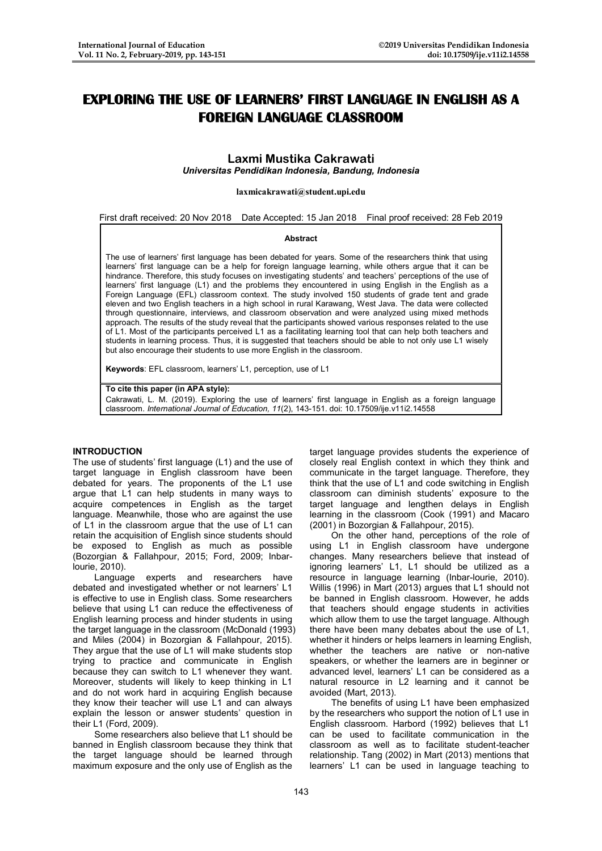# **EXPLORING THE USE OF LEARNERS' FIRST LANGUAGE IN ENGLISH AS A FOREIGN LANGUAGE CLASSROOM**

## **Laxmi Mustika Cakrawati**

*Universitas Pendidikan Indonesia, Bandung, Indonesia*

**laxmicakrawati@student.upi.edu**

First draft received: 20 Nov 2018 Date Accepted: 15 Jan 2018 Final proof received: 28 Feb 2019

#### **Abstract**

The use of learners' first language has been debated for years. Some of the researchers think that using learners' first language can be a help for foreign language learning, while others argue that it can be hindrance. Therefore, this study focuses on investigating students' and teachers' perceptions of the use of learners' first language (L1) and the problems they encountered in using English in the English as a Foreign Language (EFL) classroom context. The study involved 150 students of grade tent and grade eleven and two English teachers in a high school in rural Karawang, West Java. The data were collected through questionnaire, interviews, and classroom observation and were analyzed using mixed methods approach. The results of the study reveal that the participants showed various responses related to the use of L1. Most of the participants perceived L1 as a facilitating learning tool that can help both teachers and students in learning process. Thus, it is suggested that teachers should be able to not only use L1 wisely but also encourage their students to use more English in the classroom.

**Keywords**: EFL classroom, learners' L1, perception, use of L1

#### **To cite this paper (in APA style):**

Cakrawati, L. M. (2019). Exploring the use of learners' first language in English as a foreign language classroom. *International Journal of Education, 11*(2), 143-151. doi: 10.17509/ije.v11i2.14558

### **INTRODUCTION**

The use of students' first language (L1) and the use of target language in English classroom have been debated for years. The proponents of the L1 use argue that L1 can help students in many ways to acquire competences in English as the target language. Meanwhile, those who are against the use of L1 in the classroom argue that the use of L1 can retain the acquisition of English since students should be exposed to English as much as possible (Bozorgian & Fallahpour, 2015; Ford, 2009; Inbarlourie, 2010).

Language experts and researchers have debated and investigated whether or not learners' L1 is effective to use in English class. Some researchers believe that using L1 can reduce the effectiveness of English learning process and hinder students in using the target language in the classroom (McDonald (1993) and Miles (2004) in Bozorgian & Fallahpour, 2015). They argue that the use of L1 will make students stop trying to practice and communicate in English because they can switch to L1 whenever they want. Moreover, students will likely to keep thinking in L1 and do not work hard in acquiring English because they know their teacher will use L1 and can always explain the lesson or answer students' question in their L1 (Ford, 2009).

Some researchers also believe that L1 should be banned in English classroom because they think that the target language should be learned through maximum exposure and the only use of English as the

target language provides students the experience of closely real English context in which they think and communicate in the target language. Therefore, they think that the use of L1 and code switching in English classroom can diminish students' exposure to the target language and lengthen delays in English learning in the classroom (Cook (1991) and Macaro (2001) in Bozorgian & Fallahpour, 2015).

On the other hand, perceptions of the role of using L1 in English classroom have undergone changes. Many researchers believe that instead of ignoring learners' L1, L1 should be utilized as a resource in language learning (Inbar-lourie, 2010). Willis (1996) in Mart (2013) argues that L1 should not be banned in English classroom. However, he adds that teachers should engage students in activities which allow them to use the target language. Although there have been many debates about the use of L1, whether it hinders or helps learners in learning English, whether the teachers are native or non-native speakers, or whether the learners are in beginner or advanced level, learners' L1 can be considered as a natural resource in L2 learning and it cannot be avoided (Mart, 2013).

The benefits of using L1 have been emphasized by the researchers who support the notion of L1 use in English classroom. Harbord (1992) believes that L1 can be used to facilitate communication in the classroom as well as to facilitate student-teacher relationship. Tang (2002) in Mart (2013) mentions that learners' L1 can be used in language teaching to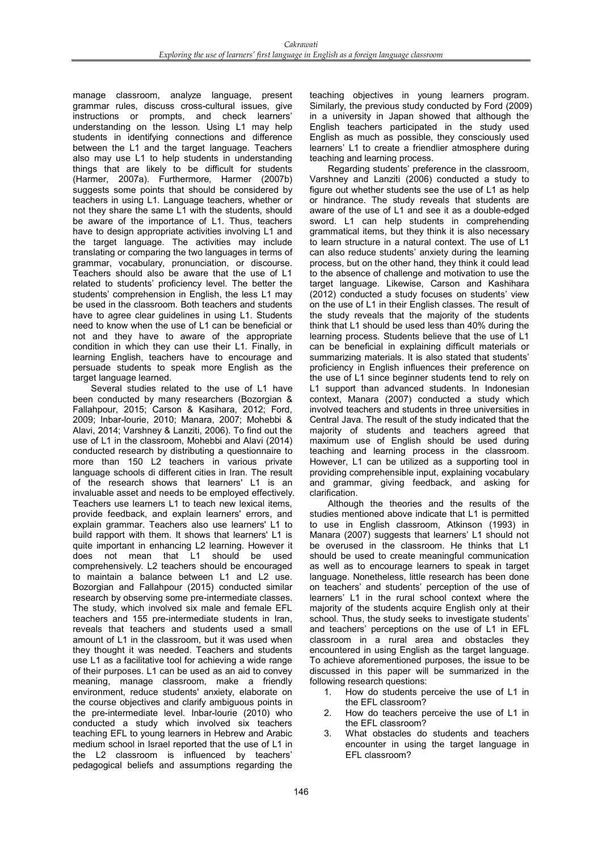manage classroom, analyze language, present grammar rules, discuss cross-cultural issues, give instructions or prompts, and check learners' understanding on the lesson. Using L1 may help students in identifying connections and difference between the L1 and the target language. Teachers also may use L1 to help students in understanding things that are likely to be difficult for students (Harmer, 2007a). Furthermore, Harmer (2007b) suggests some points that should be considered by teachers in using L1. Language teachers, whether or not they share the same L1 with the students, should be aware of the importance of L1. Thus, teachers have to design appropriate activities involving L1 and the target language. The activities may include translating or comparing the two languages in terms of grammar, vocabulary, pronunciation, or discourse. Teachers should also be aware that the use of L1 related to students' proficiency level. The better the students' comprehension in English, the less L1 may be used in the classroom. Both teachers and students have to agree clear guidelines in using L1. Students need to know when the use of L1 can be beneficial or not and they have to aware of the appropriate condition in which they can use their L1. Finally, in learning English, teachers have to encourage and persuade students to speak more English as the target language learned.

Several studies related to the use of L1 have been conducted by many researchers (Bozorgian & Fallahpour, 2015; Carson & Kasihara, 2012; Ford, 2009; Inbar-lourie, 2010; Manara, 2007; Mohebbi & Alavi, 2014; Varshney & Lanziti, 2006). To find out the use of L1 in the classroom, Mohebbi and Alavi (2014) conducted research by distributing a questionnaire to more than 150 L2 teachers in various private language schools di different cities in Iran. The result of the research shows that learners' L1 is an invaluable asset and needs to be employed effectively. Teachers use learners L1 to teach new lexical items, provide feedback, and explain learners' errors, and explain grammar. Teachers also use learners' L1 to build rapport with them. It shows that learners' L1 is quite important in enhancing L2 learning. However it does not mean that L1 should be used comprehensively. L2 teachers should be encouraged to maintain a balance between L1 and L2 use. Bozorgian and Fallahpour (2015) conducted similar research by observing some pre-intermediate classes. The study, which involved six male and female EFL teachers and 155 pre-intermediate students in Iran, reveals that teachers and students used a small amount of L1 in the classroom, but it was used when they thought it was needed. Teachers and students use L1 as a facilitative tool for achieving a wide range of their purposes. L1 can be used as an aid to convey meaning, manage classroom, make a friendly environment, reduce students' anxiety, elaborate on the course objectives and clarify ambiguous points in the pre-intermediate level. Inbar-lourie (2010) who conducted a study which involved six teachers teaching EFL to young learners in Hebrew and Arabic medium school in Israel reported that the use of L1 in the L2 classroom is influenced by teachers' pedagogical beliefs and assumptions regarding the

teaching objectives in young learners program. Similarly, the previous study conducted by Ford (2009) in a university in Japan showed that although the English teachers participated in the study used English as much as possible, they consciously used learners' L1 to create a friendlier atmosphere during teaching and learning process.

Regarding students' preference in the classroom, Varshney and Lanziti (2006) conducted a study to figure out whether students see the use of L1 as help or hindrance. The study reveals that students are aware of the use of L1 and see it as a double-edged sword. L1 can help students in comprehending grammatical items, but they think it is also necessary to learn structure in a natural context. The use of L1 can also reduce students' anxiety during the learning process, but on the other hand, they think it could lead to the absence of challenge and motivation to use the target language. Likewise, Carson and Kashihara (2012) conducted a study focuses on students' view on the use of L1 in their English classes. The result of the study reveals that the majority of the students think that L1 should be used less than 40% during the learning process. Students believe that the use of L1 can be beneficial in explaining difficult materials or summarizing materials. It is also stated that students' proficiency in English influences their preference on the use of L1 since beginner students tend to rely on L1 support than advanced students. In Indonesian context, Manara (2007) conducted a study which involved teachers and students in three universities in Central Java. The result of the study indicated that the majority of students and teachers agreed that maximum use of English should be used during teaching and learning process in the classroom. However, L1 can be utilized as a supporting tool in providing comprehensible input, explaining vocabulary and grammar, giving feedback, and asking for clarification.

Although the theories and the results of the studies mentioned above indicate that L1 is permitted to use in English classroom, Atkinson (1993) in Manara (2007) suggests that learners' L1 should not be overused in the classroom. He thinks that L1 should be used to create meaningful communication as well as to encourage learners to speak in target language. Nonetheless, little research has been done on teachers' and students' perception of the use of learners' L1 in the rural school context where the majority of the students acquire English only at their school. Thus, the study seeks to investigate students' and teachers' perceptions on the use of L1 in EFL classroom in a rural area and obstacles they encountered in using English as the target language. To achieve aforementioned purposes, the issue to be discussed in this paper will be summarized in the following research questions:

- 1. How do students perceive the use of L1 in the EFL classroom?
- 2. How do teachers perceive the use of L1 in the EFL classroom?
- 3. What obstacles do students and teachers encounter in using the target language in EFL classroom?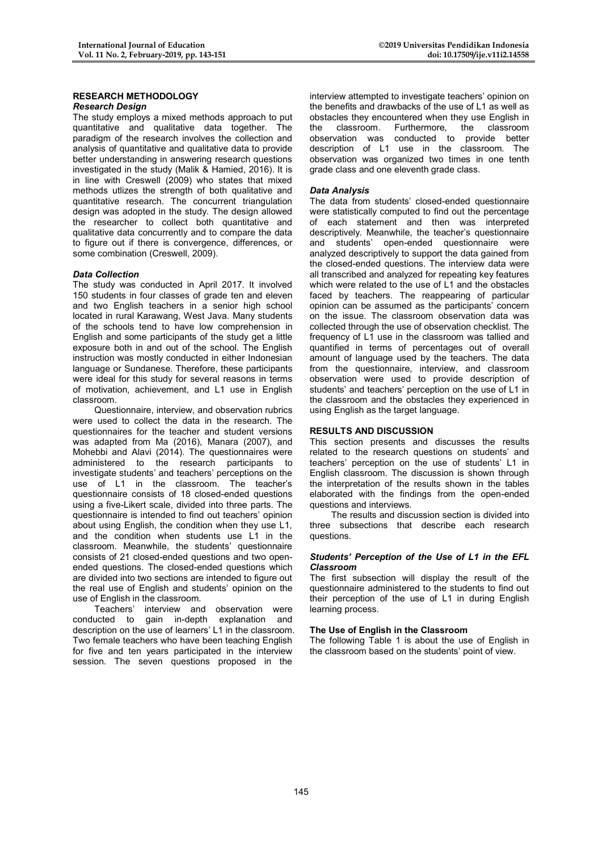#### **RESEARCH METHODOLOGY** *Research Design*

The study employs a mixed methods approach to put quantitative and qualitative data together. The paradigm of the research involves the collection and analysis of quantitative and qualitative data to provide better understanding in answering research questions investigated in the study (Malik & Hamied, 2016). It is in line with Creswell (2009) who states that mixed methods utlizes the strength of both qualitative and quantitative research. The concurrent triangulation design was adopted in the study. The design allowed the researcher to collect both quantitative and qualitative data concurrently and to compare the data to figure out if there is convergence, differences, or some combination (Creswell, 2009).

## *Data Collection*

The study was conducted in April 2017. It involved 150 students in four classes of grade ten and eleven and two English teachers in a senior high school located in rural Karawang, West Java. Many students of the schools tend to have low comprehension in English and some participants of the study get a little exposure both in and out of the school. The English instruction was mostly conducted in either Indonesian language or Sundanese. Therefore, these participants were ideal for this study for several reasons in terms of motivation, achievement, and L1 use in English classroom.

Questionnaire, interview, and observation rubrics were used to collect the data in the research. The questionnaires for the teacher and student versions was adapted from Ma (2016), Manara (2007), and Mohebbi and Alavi (2014). The questionnaires were administered to the research participants to investigate students' and teachers' perceptions on the use of L1 in the classroom. The teacher's questionnaire consists of 18 closed-ended questions using a five-Likert scale, divided into three parts. The questionnaire is intended to find out teachers' opinion about using English, the condition when they use L1, and the condition when students use L1 in the classroom. Meanwhile, the students' questionnaire consists of 21 closed-ended questions and two openended questions. The closed-ended questions which are divided into two sections are intended to figure out the real use of English and students' opinion on the use of English in the classroom.

Teachers' interview and observation were conducted to gain in-depth explanation and description on the use of learners' L1 in the classroom. Two female teachers who have been teaching English for five and ten years participated in the interview session. The seven questions proposed in the

interview attempted to investigate teachers' opinion on the benefits and drawbacks of the use of L1 as well as obstacles they encountered when they use English in the classroom. Furthermore, the classroom observation was conducted to provide better description of L1 use in the classroom. The observation was organized two times in one tenth grade class and one eleventh grade class.

## *Data Analysis*

The data from students' closed-ended questionnaire were statistically computed to find out the percentage of each statement and then was interpreted descriptively. Meanwhile, the teacher's questionnaire and students' open-ended questionnaire were analyzed descriptively to support the data gained from the closed-ended questions. The interview data were all transcribed and analyzed for repeating key features which were related to the use of L1 and the obstacles faced by teachers. The reappearing of particular opinion can be assumed as the participants' concern on the issue. The classroom observation data was collected through the use of observation checklist. The frequency of L1 use in the classroom was tallied and quantified in terms of percentages out of overall amount of language used by the teachers. The data from the questionnaire, interview, and classroom observation were used to provide description of students' and teachers' perception on the use of L1 in the classroom and the obstacles they experienced in using English as the target language.

## **RESULTS AND DISCUSSION**

This section presents and discusses the results related to the research questions on students' and teachers' perception on the use of students' L1 in English classroom. The discussion is shown through the interpretation of the results shown in the tables elaborated with the findings from the open-ended questions and interviews.

The results and discussion section is divided into three subsections that describe each research questions.

#### *Students' Perception of the Use of L1 in the EFL Classroom*

The first subsection will display the result of the questionnaire administered to the students to find out their perception of the use of L1 in during English learning process.

#### **The Use of English in the Classroom**

The following Table 1 is about the use of English in the classroom based on the students' point of view.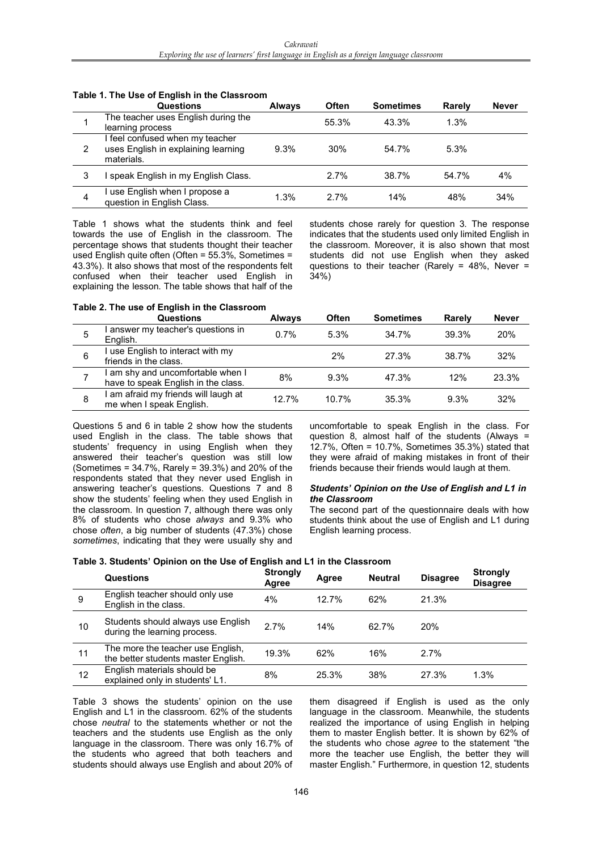|   | <b>Questions</b>                                                                     | <b>Always</b> | <b>Often</b> | <b>Sometimes</b> | Rarely | <b>Never</b> |
|---|--------------------------------------------------------------------------------------|---------------|--------------|------------------|--------|--------------|
|   | The teacher uses English during the<br>learning process                              |               | 55.3%        | 43.3%            | 1.3%   |              |
| 2 | I feel confused when my teacher<br>uses English in explaining learning<br>materials. | 9.3%          | 30%          | 54.7%            | 5.3%   |              |
| 3 | speak English in my English Class.                                                   |               | 2.7%         | 38.7%            | 54.7%  | 4%           |
| 4 | I use English when I propose a<br>question in English Class.                         | 1.3%          | 2.7%         | 14%              | 48%    | 34%          |

### **Table 1. The Use of English in the Classroom**

Table 1 shows what the students think and feel towards the use of English in the classroom. The percentage shows that students thought their teacher used English quite often (Often = 55.3%, Sometimes = 43.3%). It also shows that most of the respondents felt confused when their teacher used English in explaining the lesson. The table shows that half of the students chose rarely for question 3. The response indicates that the students used only limited English in the classroom. Moreover, it is also shown that most students did not use English when they asked questions to their teacher (Rarely = 48%, Never = 34%)

## **Table 2. The use of English in the Classroom**

|   | Questions                                                              | <b>Always</b> | <b>Often</b> | <b>Sometimes</b> | Rarely | <b>Never</b> |
|---|------------------------------------------------------------------------|---------------|--------------|------------------|--------|--------------|
| 5 | answer my teacher's questions in<br>English.                           | 0.7%          | 5.3%         | 34.7%            | 39.3%  | 20%          |
| 6 | use English to interact with my<br>friends in the class.               |               | 2%           | 27.3%            | 38.7%  | 32%          |
|   | am shy and uncomfortable when I<br>have to speak English in the class. | 8%            | 9.3%         | 47.3%            | 12%    | 23.3%        |
| 8 | am afraid my friends will laugh at<br>me when I speak English.         | 12.7%         | 10.7%        | 35.3%            | 9.3%   | 32%          |

Questions 5 and 6 in table 2 show how the students used English in the class. The table shows that students' frequency in using English when they answered their teacher's question was still low (Sometimes = 34.7%, Rarely = 39.3%) and 20% of the respondents stated that they never used English in answering teacher's questions. Questions 7 and 8 show the students' feeling when they used English in the classroom. In question 7, although there was only 8% of students who chose *always* and 9.3% who chose *often*, a big number of students (47.3%) chose *sometimes*, indicating that they were usually shy and

uncomfortable to speak English in the class. For question 8, almost half of the students (Always = 12.7%, Often = 10.7%, Sometimes 35.3%) stated that they were afraid of making mistakes in front of their friends because their friends would laugh at them.

#### *Students' Opinion on the Use of English and L1 in the Classroom*

The second part of the questionnaire deals with how students think about the use of English and L1 during English learning process.

#### **Table 3. Students' Opinion on the Use of English and L1 in the Classroom**

|    | Questions                                                                | <b>Strongly</b><br>Agree | Agree | <b>Neutral</b> | <b>Disagree</b> | <b>Strongly</b><br><b>Disagree</b> |
|----|--------------------------------------------------------------------------|--------------------------|-------|----------------|-----------------|------------------------------------|
| 9  | English teacher should only use<br>English in the class.                 | 4%                       | 12.7% | 62%            | 21.3%           |                                    |
| 10 | Students should always use English<br>during the learning process.       | 2.7%                     | 14%   | 62.7%          | 20%             |                                    |
| 11 | The more the teacher use English,<br>the better students master English. | 19.3%                    | 62%   | 16%            | 2.7%            |                                    |
| 12 | English materials should be<br>explained only in students' L1.           | 8%                       | 25.3% | 38%            | 27.3%           | 1.3%                               |

Table 3 shows the students' opinion on the use English and L1 in the classroom. 62% of the students chose *neutral* to the statements whether or not the teachers and the students use English as the only language in the classroom. There was only 16.7% of the students who agreed that both teachers and students should always use English and about 20% of them disagreed if English is used as the only language in the classroom. Meanwhile, the students realized the importance of using English in helping them to master English better. It is shown by 62% of the students who chose *agree* to the statement "the more the teacher use English, the better they will master English." Furthermore, in question 12, students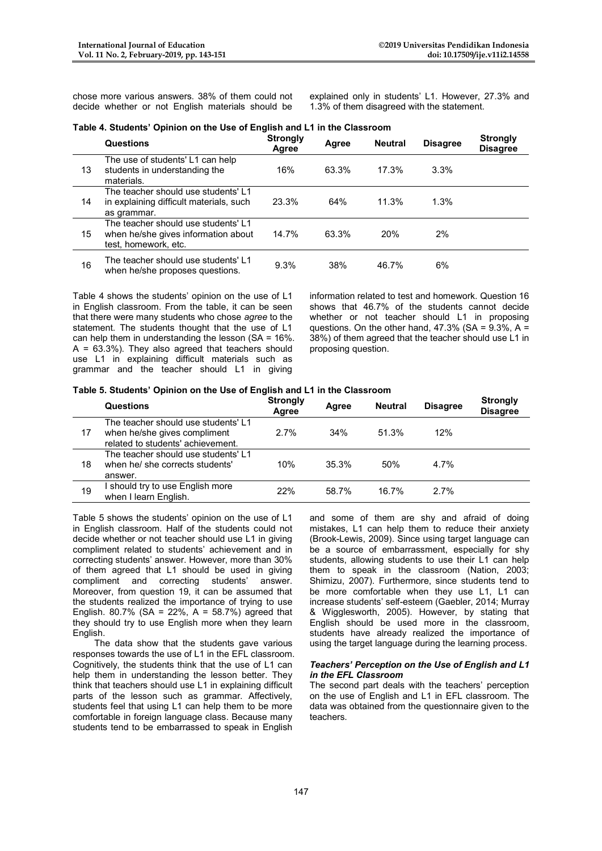chose more various answers. 38% of them could not decide whether or not English materials should be

explained only in students' L1. However, 27.3% and 1.3% of them disagreed with the statement.

| Table 4. Students' Opinion on the Use of English and L1 in the Classroom |  |  |  |  |
|--------------------------------------------------------------------------|--|--|--|--|
|                                                                          |  |  |  |  |

|    | <b>Questions</b>                                                                                   | <b>Strongly</b><br>Agree | Agree | <b>Neutral</b> | <b>Disagree</b> | <b>Strongly</b><br><b>Disagree</b> |
|----|----------------------------------------------------------------------------------------------------|--------------------------|-------|----------------|-----------------|------------------------------------|
| 13 | The use of students' L1 can help<br>students in understanding the<br>materials.                    | 16%                      | 63.3% | 17.3%          | 3.3%            |                                    |
| 14 | The teacher should use students' L1<br>in explaining difficult materials, such<br>as grammar.      | 23.3%                    | 64%   | 11.3%          | 1.3%            |                                    |
| 15 | The teacher should use students' L1<br>when he/she gives information about<br>test, homework, etc. | 14.7%                    | 63.3% | 20%            | $2\%$           |                                    |
| 16 | The teacher should use students' L1<br>when he/she proposes questions.                             | 9.3%                     | 38%   | 46.7%          | 6%              |                                    |

Table 4 shows the students' opinion on the use of L1 in English classroom. From the table, it can be seen that there were many students who chose *agree* to the statement. The students thought that the use of L1 can help them in understanding the lesson ( $SA = 16\%$ .  $A = 63.3\%$ ). They also agreed that teachers should use L1 in explaining difficult materials such as grammar and the teacher should L1 in giving

information related to test and homework. Question 16 shows that 46.7% of the students cannot decide whether or not teacher should L1 in proposing questions. On the other hand,  $47.3\%$  (SA = 9.3%, A = 38%) of them agreed that the teacher should use L1 in proposing question.

#### **Table 5. Students' Opinion on the Use of English and L1 in the Classroom**

|    | <b>Questions</b>                                                                                         | <b>Strongly</b><br>Agree | Agree | <b>Neutral</b> | <b>Disagree</b> | <b>Strongly</b><br><b>Disagree</b> |
|----|----------------------------------------------------------------------------------------------------------|--------------------------|-------|----------------|-----------------|------------------------------------|
| 17 | The teacher should use students' L1<br>when he/she gives compliment<br>related to students' achievement. | 2.7%                     | 34%   | 51.3%          | 12%             |                                    |
| 18 | The teacher should use students' L1<br>when he/ she corrects students'<br>answer.                        | 10%                      | 35.3% | 50%            | 4.7%            |                                    |
| 19 | should try to use English more<br>when I learn English.                                                  | 22%                      | 58.7% | 16.7%          | 2.7%            |                                    |

Table 5 shows the students' opinion on the use of L1 in English classroom. Half of the students could not decide whether or not teacher should use L1 in giving compliment related to students' achievement and in correcting students' answer. However, more than 30% of them agreed that L1 should be used in giving compliment and correcting students' answer. Moreover, from question 19, it can be assumed that the students realized the importance of trying to use English. 80.7% (SA =  $22\%$ , A =  $58.7\%$ ) agreed that they should try to use English more when they learn English.

The data show that the students gave various responses towards the use of L1 in the EFL classroom. Cognitively, the students think that the use of L1 can help them in understanding the lesson better. They think that teachers should use L1 in explaining difficult parts of the lesson such as grammar. Affectively, students feel that using L1 can help them to be more comfortable in foreign language class. Because many students tend to be embarrassed to speak in English

and some of them are shy and afraid of doing mistakes, L1 can help them to reduce their anxiety (Brook-Lewis, 2009). Since using target language can be a source of embarrassment, especially for shy students, allowing students to use their L1 can help them to speak in the classroom (Nation, 2003; Shimizu, 2007). Furthermore, since students tend to be more comfortable when they use L1, L1 can increase students' self-esteem (Gaebler, 2014; Murray & Wigglesworth, 2005). However, by stating that English should be used more in the classroom, students have already realized the importance of using the target language during the learning process.

#### *Teachers' Perception on the Use of English and L1 in the EFL Classroom*

The second part deals with the teachers' perception on the use of English and L1 in EFL classroom. The data was obtained from the questionnaire given to the teachers.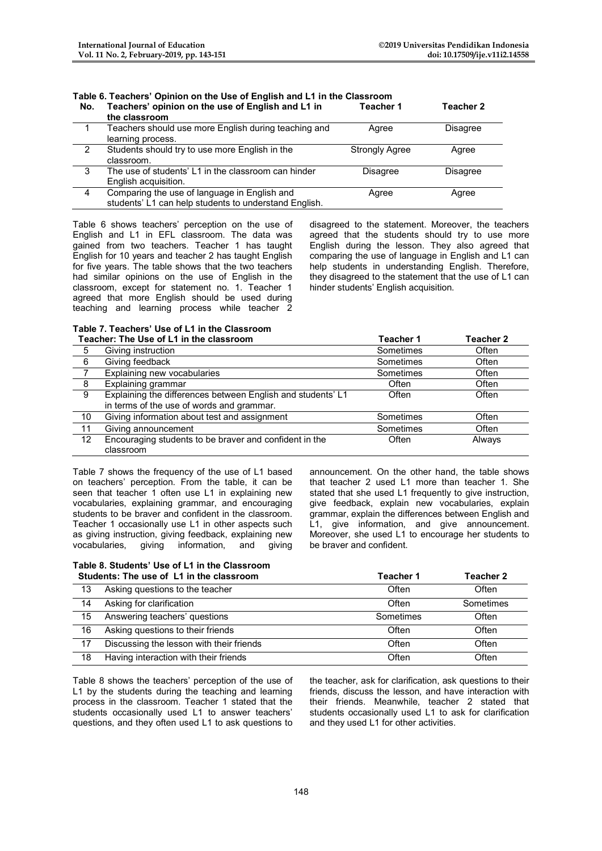# **Table 6. Teachers' Opinion on the Use of English and L1 in the Classroom**

| No. | Teachers' opinion on the use of English and L1 in<br>the classroom                                    | Teacher 1             | Teacher 2       |
|-----|-------------------------------------------------------------------------------------------------------|-----------------------|-----------------|
|     | Teachers should use more English during teaching and<br>learning process.                             | Agree                 | <b>Disagree</b> |
| 2   | Students should try to use more English in the<br>classroom.                                          | <b>Strongly Agree</b> | Agree           |
| 3   | The use of students' L1 in the classroom can hinder<br>English acquisition.                           | <b>Disagree</b>       | <b>Disagree</b> |
| 4   | Comparing the use of language in English and<br>students' L1 can help students to understand English. | Agree                 | Agree           |

Table 6 shows teachers' perception on the use of English and L1 in EFL classroom. The data was gained from two teachers. Teacher 1 has taught English for 10 years and teacher 2 has taught English for five years. The table shows that the two teachers had similar opinions on the use of English in the classroom, except for statement no. 1. Teacher 1 agreed that more English should be used during teaching and learning process while teacher 2 disagreed to the statement. Moreover, the teachers agreed that the students should try to use more English during the lesson. They also agreed that comparing the use of language in English and L1 can help students in understanding English. Therefore, they disagreed to the statement that the use of L1 can hinder students' English acquisition.

#### **Table 7. Teachers' Use of L1 in the Classroom Teacher: The Use of L1 in the classroom Teacher 1 Teacher 2**

|     | EQUILE I THE USE OF LTTT THE CLASSIOUTH                     | I GALIIGI I | I GAUITEI L |
|-----|-------------------------------------------------------------|-------------|-------------|
| 5   | Giving instruction                                          | Sometimes   | Often       |
| 6   | Giving feedback                                             | Sometimes   | Often       |
|     | Explaining new vocabularies                                 | Sometimes   | Often       |
| - 8 | Explaining grammar                                          | Often       | Often       |
| - 9 | Explaining the differences between English and students' L1 | Often       | Often       |
|     | in terms of the use of words and grammar.                   |             |             |
| 10  | Giving information about test and assignment                | Sometimes   | Often       |
| 11  | Giving announcement                                         | Sometimes   | Often       |
| 12  | Encouraging students to be braver and confident in the      | Often       | Always      |
|     | classroom                                                   |             |             |

Table 7 shows the frequency of the use of L1 based on teachers' perception. From the table, it can be seen that teacher 1 often use L1 in explaining new vocabularies, explaining grammar, and encouraging students to be braver and confident in the classroom. Teacher 1 occasionally use L1 in other aspects such as giving instruction, giving feedback, explaining new vocabularies, giving information, and giving announcement. On the other hand, the table shows that teacher 2 used L1 more than teacher 1. She stated that she used L1 frequently to give instruction, give feedback, explain new vocabularies, explain grammar, explain the differences between English and L1, give information, and give announcement. Moreover, she used L1 to encourage her students to be braver and confident.

#### **Table 8. Students' Use of L1 in the Classroom Students: The use of L1 in the classroom Teacher 1 Teacher 2**

|    | <u>UNUVINJ, TIN UJU VE ET IN MIG GRJJI UVIN</u> | .         | 1 YUVIIVI 6 |
|----|-------------------------------------------------|-----------|-------------|
| 13 | Asking questions to the teacher                 | Often     | Often       |
| 14 | Asking for clarification                        | Often     | Sometimes   |
| 15 | Answering teachers' questions                   | Sometimes | Often       |
| 16 | Asking questions to their friends               | Often     | Often       |
| 17 | Discussing the lesson with their friends        | Often     | Often       |
| 18 | Having interaction with their friends           | Often     | Often       |

Table 8 shows the teachers' perception of the use of L1 by the students during the teaching and learning process in the classroom. Teacher 1 stated that the students occasionally used L1 to answer teachers' questions, and they often used L1 to ask questions to

the teacher, ask for clarification, ask questions to their friends, discuss the lesson, and have interaction with their friends. Meanwhile, teacher 2 stated that students occasionally used L1 to ask for clarification and they used L1 for other activities.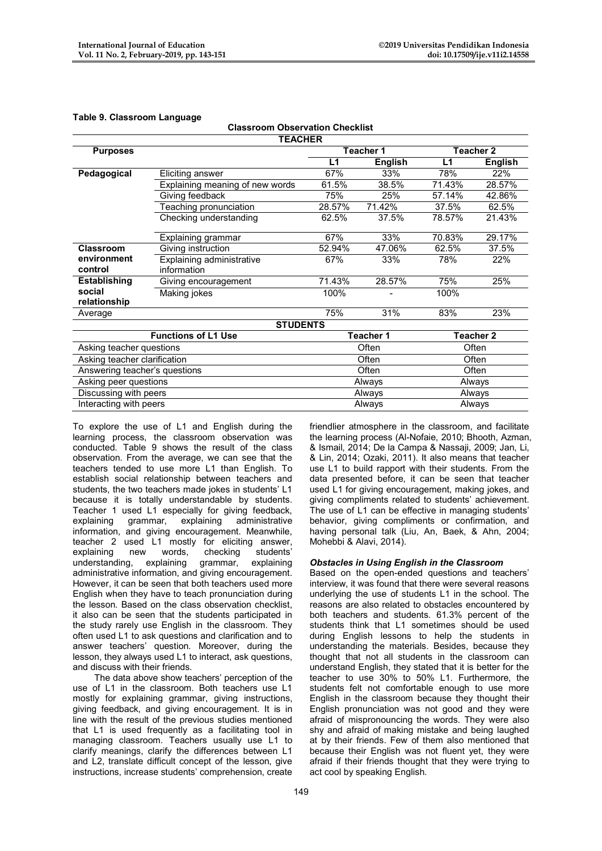| <b>TEACHER</b>                |                                               |        |                |        |                |  |  |  |
|-------------------------------|-----------------------------------------------|--------|----------------|--------|----------------|--|--|--|
| <b>Purposes</b>               |                                               |        | Teacher 1      |        | Teacher 2      |  |  |  |
|                               |                                               | L1     | <b>English</b> | L1     | <b>English</b> |  |  |  |
| Pedagogical                   | Eliciting answer                              | 67%    | 33%            | 78%    | 22%            |  |  |  |
|                               | Explaining meaning of new words               | 61.5%  | 38.5%          | 71.43% | 28.57%         |  |  |  |
|                               | Giving feedback                               | 75%    | 25%            | 57.14% | 42.86%         |  |  |  |
|                               | Teaching pronunciation                        | 28.57% | 71.42%         | 37.5%  | 62.5%          |  |  |  |
|                               | Checking understanding                        | 62.5%  | 37.5%          | 78.57% | 21.43%         |  |  |  |
|                               | Explaining grammar                            | 67%    | 33%            | 70.83% | 29.17%         |  |  |  |
| Classroom                     | Giving instruction                            | 52.94% | 47.06%         | 62.5%  | 37.5%          |  |  |  |
| environment                   | <b>Explaining administrative</b>              | 67%    | 33%            | 78%    | 22%            |  |  |  |
| control                       | information                                   |        |                |        |                |  |  |  |
| <b>Establishing</b>           | Giving encouragement                          | 71.43% | 28.57%         | 75%    | 25%            |  |  |  |
| social                        | Making jokes                                  | 100%   |                | 100%   |                |  |  |  |
| relationship                  |                                               |        |                |        |                |  |  |  |
| Average                       |                                               | 75%    | 31%            | 83%    | 23%            |  |  |  |
|                               | <b>STUDENTS</b><br><b>Functions of L1 Use</b> |        |                |        |                |  |  |  |
|                               | Teacher 1                                     |        | Teacher 2      |        |                |  |  |  |
| Asking teacher questions      |                                               |        | Often          |        | Often          |  |  |  |
| Asking teacher clarification  |                                               | Often  |                | Often  |                |  |  |  |
| Answering teacher's questions |                                               | Often  |                | Often  |                |  |  |  |
| Asking peer questions         |                                               | Always |                | Always |                |  |  |  |
| Discussing with peers         |                                               |        | Always         |        | Always         |  |  |  |
| Interacting with peers        |                                               |        | Always         |        | Always         |  |  |  |

**Classroom Observation Checklist**

## **Table 9. Classroom Language**

To explore the use of L1 and English during the learning process, the classroom observation was conducted. Table 9 shows the result of the class observation. From the average, we can see that the teachers tended to use more L1 than English. To establish social relationship between teachers and students, the two teachers made jokes in students' L1 because it is totally understandable by students. Teacher 1 used L1 especially for giving feedback, explaining grammar, explaining administrative information, and giving encouragement. Meanwhile, teacher 2 used L1 mostly for eliciting answer, explaining new words, checking students' understanding, explaining grammar, administrative information, and giving encouragement. However, it can be seen that both teachers used more English when they have to teach pronunciation during the lesson. Based on the class observation checklist, it also can be seen that the students participated in the study rarely use English in the classroom. They often used L1 to ask questions and clarification and to answer teachers' question. Moreover, during the lesson, they always used L1 to interact, ask questions, and discuss with their friends.

The data above show teachers' perception of the use of L1 in the classroom. Both teachers use L1 mostly for explaining grammar, giving instructions, giving feedback, and giving encouragement. It is in line with the result of the previous studies mentioned that L1 is used frequently as a facilitating tool in managing classroom. Teachers usually use L1 to clarify meanings, clarify the differences between L1 and L2, translate difficult concept of the lesson, give instructions, increase students' comprehension, create

friendlier atmosphere in the classroom, and facilitate the learning process (Al-Nofaie, 2010; Bhooth, Azman, & Ismail, 2014; De la Campa & Nassaji, 2009; Jan, Li, & Lin, 2014; Ozaki, 2011). It also means that teacher use L1 to build rapport with their students. From the data presented before, it can be seen that teacher used L1 for giving encouragement, making jokes, and giving compliments related to students' achievement. The use of L1 can be effective in managing students' behavior, giving compliments or confirmation, and having personal talk (Liu, An, Baek, & Ahn, 2004; Mohebbi & Alavi, 2014).

## *Obstacles in Using English in the Classroom*

Based on the open-ended questions and teachers' interview, it was found that there were several reasons underlying the use of students L1 in the school. The reasons are also related to obstacles encountered by both teachers and students. 61.3% percent of the students think that L1 sometimes should be used during English lessons to help the students in understanding the materials. Besides, because they thought that not all students in the classroom can understand English, they stated that it is better for the teacher to use 30% to 50% L1. Furthermore, the students felt not comfortable enough to use more English in the classroom because they thought their English pronunciation was not good and they were afraid of mispronouncing the words. They were also shy and afraid of making mistake and being laughed at by their friends. Few of them also mentioned that because their English was not fluent yet, they were afraid if their friends thought that they were trying to act cool by speaking English.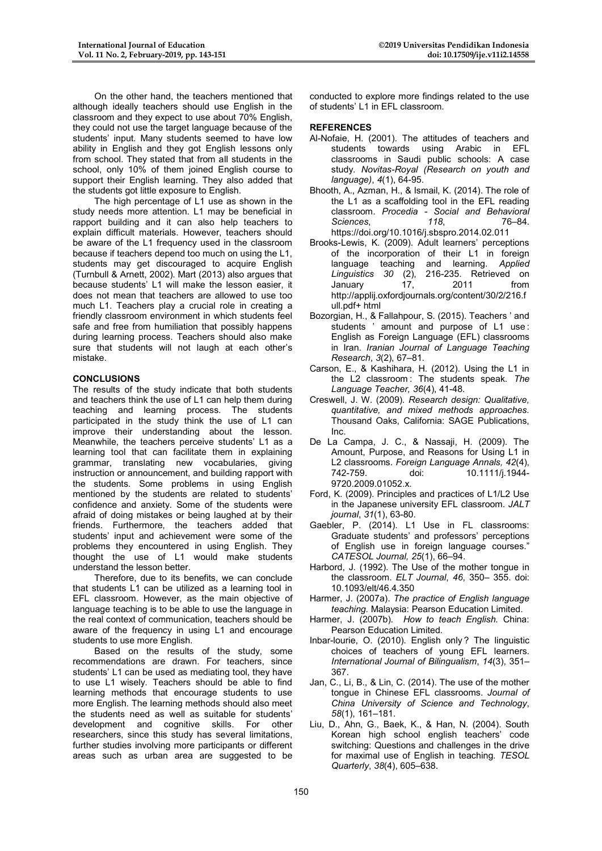On the other hand, the teachers mentioned that although ideally teachers should use English in the classroom and they expect to use about 70% English, they could not use the target language because of the students' input. Many students seemed to have low ability in English and they got English lessons only from school. They stated that from all students in the school, only 10% of them joined English course to support their English learning. They also added that the students got little exposure to English.

The high percentage of L1 use as shown in the study needs more attention. L1 may be beneficial in rapport building and it can also help teachers to explain difficult materials. However, teachers should be aware of the L1 frequency used in the classroom because if teachers depend too much on using the L1, students may get discouraged to acquire English (Turnbull & Arnett, 2002). Mart (2013) also argues that because students' L1 will make the lesson easier, it does not mean that teachers are allowed to use too much L1. Teachers play a crucial role in creating a friendly classroom environment in which students feel safe and free from humiliation that possibly happens during learning process. Teachers should also make sure that students will not laugh at each other's mistake.

## **CONCLUSIONS**

The results of the study indicate that both students and teachers think the use of L1 can help them during teaching and learning process. The students participated in the study think the use of L1 can improve their understanding about the lesson. Meanwhile, the teachers perceive students' L1 as a learning tool that can facilitate them in explaining grammar, translating new vocabularies, giving instruction or announcement, and building rapport with the students. Some problems in using English mentioned by the students are related to students' confidence and anxiety. Some of the students were afraid of doing mistakes or being laughed at by their friends. Furthermore, the teachers added that students' input and achievement were some of the problems they encountered in using English. They thought the use of L1 would make students understand the lesson better.

Therefore, due to its benefits, we can conclude that students L1 can be utilized as a learning tool in EFL classroom. However, as the main objective of language teaching is to be able to use the language in the real context of communication, teachers should be aware of the frequency in using L1 and encourage students to use more English.

Based on the results of the study, some recommendations are drawn. For teachers, since students' L1 can be used as mediating tool, they have to use L1 wisely. Teachers should be able to find learning methods that encourage students to use more English. The learning methods should also meet the students need as well as suitable for students' development and cognitive skills. For other researchers, since this study has several limitations, further studies involving more participants or different areas such as urban area are suggested to be

conducted to explore more findings related to the use of students' L1 in EFL classroom.

## **REFERENCES**

- Al-Nofaie, H. (2001). The attitudes of teachers and students towards using Arabic in EFL classrooms in Saudi public schools: A case study. *Novitas-Royal (Research on youth and language)*, *4*(1), 64-95.
- Bhooth, A., Azman, H., & Ismail, K. (2014). The role of the L1 as a scaffolding tool in the EFL reading classroom. *Procedia - Social and Behavioral Sciences*, *118*, 76–84. https://doi.org/10.1016/j.sbspro.2014.02.011

Brooks-Lewis, K. (2009). Adult learners' perceptions of the incorporation of their L1 in foreign language teaching and learning. *Applied Linguistics 30* (2), 216-235. Retrieved on January 17, 2011 from http://applij.oxfordjournals.org/content/30/2/216.f ull.pdf+ html

- Bozorgian, H., & Fallahpour, S. (2015). Teachers ' and students ' amount and purpose of L1 use: English as Foreign Language (EFL) classrooms in Iran. *Iranian Journal of Language Teaching Research*, *3*(2), 67–81.
- Carson, E., & Kashihara, H. (2012). Using the L1 in the L2 classroom : The students speak. *The Language Teacher, 36*(4), 41-48.
- Creswell, J. W. (2009). *Research design: Qualitative, quantitative, and mixed methods approaches.* Thousand Oaks, California: SAGE Publications, Inc.
- De La Campa, J. C., & Nassaji, H. (2009). The Amount, Purpose, and Reasons for Using L1 in L2 classrooms. *Foreign Language Annals, 42*(4), 742-759. doi: 10.1111/j.1944- 9720.2009.01052.x.
- Ford, K. (2009). Principles and practices of L1/L2 Use in the Japanese university EFL classroom. *JALT journal*, *31*(1), 63-80.
- Gaebler, P. (2014). L1 Use in FL classrooms: Graduate students' and professors' perceptions of English use in foreign language courses." *CATESOL Journal, 25*(1), 66–94.
- Harbord, J. (1992). The Use of the mother tongue in the classroom. *ELT Journal*, *46*, 350– 355. doi: 10.1093/elt/46.4.350
- Harmer, J. (2007a). *The practice of English language teaching.* Malaysia: Pearson Education Limited.
- Harmer, J. (2007b). *How to teach English.* China: Pearson Education Limited.
- Inbar-lourie, O. (2010). English only ? The linguistic choices of teachers of young EFL learners. *International Journal of Bilingualism*, *14*(3), 351– 367.
- Jan, C., Li, B., & Lin, C. (2014). The use of the mother tongue in Chinese EFL classrooms. *Journal of China University of Science and Technology*, *58*(1), 161–181.
- Liu, D., Ahn, G., Baek, K., & Han, N. (2004). South Korean high school english teachers' code switching: Questions and challenges in the drive for maximal use of English in teaching. *TESOL Quarterly*, *38*(4), 605–638.